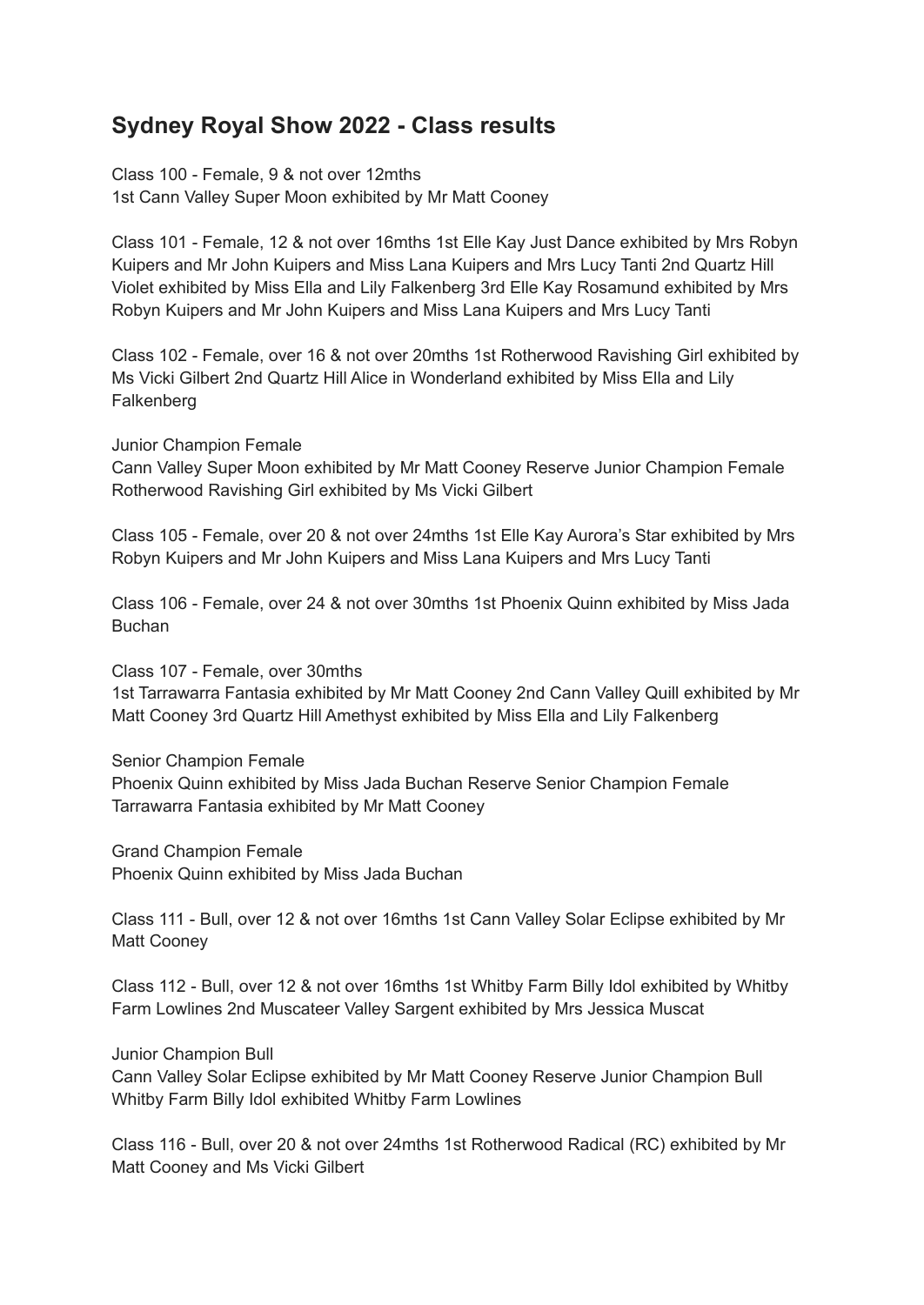## **Sydney Royal Show 2022 - Class results**

Class 100 - Female, 9 & not over 12mths 1st Cann Valley Super Moon exhibited by Mr Matt Cooney

Class 101 - Female, 12 & not over 16mths 1st Elle Kay Just Dance exhibited by Mrs Robyn Kuipers and Mr John Kuipers and Miss Lana Kuipers and Mrs Lucy Tanti 2nd Quartz Hill Violet exhibited by Miss Ella and Lily Falkenberg 3rd Elle Kay Rosamund exhibited by Mrs Robyn Kuipers and Mr John Kuipers and Miss Lana Kuipers and Mrs Lucy Tanti

Class 102 - Female, over 16 & not over 20mths 1st Rotherwood Ravishing Girl exhibited by Ms Vicki Gilbert 2nd Quartz Hill Alice in Wonderland exhibited by Miss Ella and Lily **Falkenberg** 

Junior Champion Female

Cann Valley Super Moon exhibited by Mr Matt Cooney Reserve Junior Champion Female Rotherwood Ravishing Girl exhibited by Ms Vicki Gilbert

Class 105 - Female, over 20 & not over 24mths 1st Elle Kay Aurora's Star exhibited by Mrs Robyn Kuipers and Mr John Kuipers and Miss Lana Kuipers and Mrs Lucy Tanti

Class 106 - Female, over 24 & not over 30mths 1st Phoenix Quinn exhibited by Miss Jada Buchan

Class 107 - Female, over 30mths

1st Tarrawarra Fantasia exhibited by Mr Matt Cooney 2nd Cann Valley Quill exhibited by Mr Matt Cooney 3rd Quartz Hill Amethyst exhibited by Miss Ella and Lily Falkenberg

Senior Champion Female

Phoenix Quinn exhibited by Miss Jada Buchan Reserve Senior Champion Female Tarrawarra Fantasia exhibited by Mr Matt Cooney

Grand Champion Female Phoenix Quinn exhibited by Miss Jada Buchan

Class 111 - Bull, over 12 & not over 16mths 1st Cann Valley Solar Eclipse exhibited by Mr Matt Cooney

Class 112 - Bull, over 12 & not over 16mths 1st Whitby Farm Billy Idol exhibited by Whitby Farm Lowlines 2nd Muscateer Valley Sargent exhibited by Mrs Jessica Muscat

Junior Champion Bull

Cann Valley Solar Eclipse exhibited by Mr Matt Cooney Reserve Junior Champion Bull Whitby Farm Billy Idol exhibited Whitby Farm Lowlines

Class 116 - Bull, over 20 & not over 24mths 1st Rotherwood Radical (RC) exhibited by Mr Matt Cooney and Ms Vicki Gilbert